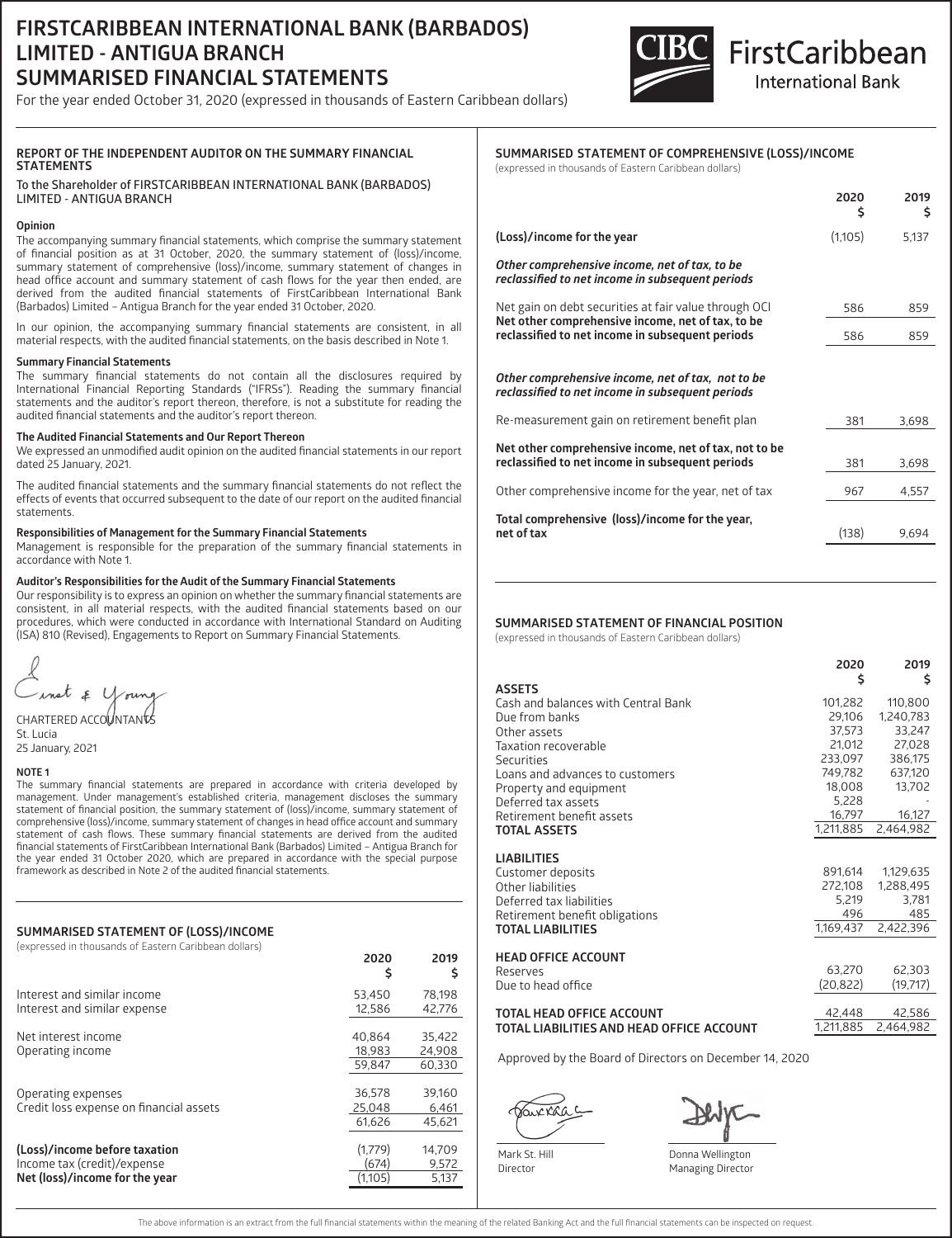## **FIRSTCARIBBEAN INTERNATIONAL BANK (BARBADOS) LIMITED - ANTIGUA BRANCH SUMMARISED FINANCIAL STATEMENTS**

For the year ended October 31, 2020 (expressed in thousands of Eastern Caribbean dollars)



# FirstCaribbean **International Bank**

## **REPORT OF THE INDEPENDENT AUDITOR ON THE SUMMARY FINANCIAL STATEMENTS**

**To the Shareholder of FIRSTCARIBBEAN INTERNATIONAL BANK (BARBADOS) LIMITED - ANTIGUA BRANCH**

#### **Opinion**

The accompanying summary financial statements, which comprise the summary statement of financial position as at 31 October, 2020, the summary statement of (loss)/income, summary statement of comprehensive (loss)/income, summary statement of changes in head office account and summary statement of cash flows for the year then ended, are derived from the audited financial statements of FirstCaribbean International Bank (Barbados) Limited – Antigua Branch for the year ended 31 October, 2020.

In our opinion, the accompanying summary financial statements are consistent, in all material respects, with the audited financial statements, on the basis described in Note 1.

#### **Summary Financial Statements**

The summary financial statements do not contain all the disclosures required by International Financial Reporting Standards ("IFRSs"). Reading the summary financial statements and the auditor's report thereon, therefore, is not a substitute for reading the audited financial statements and the auditor's report thereon.

#### **The Audited Financial Statements and Our Report Thereon**

We expressed an unmodified audit opinion on the audited financial statements in our report dated 25 January, 2021.

The audited financial statements and the summary financial statements do not reflect the effects of events that occurred subsequent to the date of our report on the audited financial statements.

#### **Responsibilities of Management for the Summary Financial Statements**

Management is responsible for the preparation of the summary financial statements in accordance with Note 1.

#### **Auditor's Responsibilities for the Audit of the Summary Financial Statements**

Our responsibility is to express an opinion on whether the summary financial statements are consistent, in all material respects, with the audited financial statements based on our procedures, which were conducted in accordance with International Standard on Auditing (ISA) 810 (Revised), Engagements to Report on Summary Financial Statements.

 $\epsilon$  U

CHARTERED ACCOUNTANTS St. Lucia 25 January, 2021

#### **NOTE 1**

The summary financial statements are prepared in accordance with criteria developed by management. Under management's established criteria, management discloses the summary statement of financial position, the summary statement of (loss)/income, summary statement of comprehensive (loss)/income, summary statement of changes in head office account and summary statement of cash flows. These summary financial statements are derived from the audited financial statements of FirstCaribbean International Bank (Barbados) Limited – Antigua Branch for the year ended 31 October 2020, which are prepared in accordance with the special purpose framework as described in Note 2 of the audited financial statements.

#### **SUMMARISED STATEMENT OF (LOSS)/INCOME**

| (expressed in thousands of Eastern Caribbean dollars)                                          | 2020<br>\$                  | 2019<br>s                  |
|------------------------------------------------------------------------------------------------|-----------------------------|----------------------------|
| Interest and similar income<br>Interest and similar expense                                    | 53.450<br>12.586            | 78.198<br>42.776           |
| Net interest income<br>Operating income                                                        | 40.864<br>18.983<br>59.847  | 35,422<br>24.908<br>60.330 |
| Operating expenses<br>Credit loss expense on financial assets                                  | 36.578<br>25.048<br>61.626  | 39.160<br>6.461<br>45.621  |
| (Loss)/income before taxation<br>Income tax (credit)/expense<br>Net (loss)/income for the year | (1.779)<br>(674)<br>(1.105) | 14,709<br>9.572<br>5.137   |

### **SUMMARISED STATEMENT OF COMPREHENSIVE (LOSS)/INCOME**

(expressed in thousands of Eastern Caribbean dollars)

|                                                                                                                                                                | 2020<br>\$ | 2019<br>Ś |
|----------------------------------------------------------------------------------------------------------------------------------------------------------------|------------|-----------|
| (Loss)/income for the year                                                                                                                                     | (1,105)    | 5,137     |
| Other comprehensive income, net of tax, to be<br>reclassified to net income in subsequent periods                                                              |            |           |
| Net gain on debt securities at fair value through OCI<br>Net other comprehensive income, net of tax, to be<br>reclassified to net income in subsequent periods | 586        | 859       |
|                                                                                                                                                                | 586        | 859       |
| Other comprehensive income, net of tax, not to be<br>reclassified to net income in subsequent periods                                                          |            |           |
| Re-measurement gain on retirement benefit plan                                                                                                                 | 381        | 3,698     |
| Net other comprehensive income, net of tax, not to be<br>reclassified to net income in subsequent periods                                                      | 381        | 3,698     |
| Other comprehensive income for the year, net of tax                                                                                                            | 967        | 4,557     |
| Total comprehensive (loss)/income for the year,<br>net of tax                                                                                                  | (138)      | 9,694     |

#### **SUMMARISED STATEMENT OF FINANCIAL POSITION**

(expressed in thousands of Eastern Caribbean dollars)

|                                                              | 2020<br>\$          | 2019<br>\$          |
|--------------------------------------------------------------|---------------------|---------------------|
| <b>ASSETS</b>                                                |                     |                     |
| Cash and balances with Central Bank                          | 101,282             | 110,800             |
| Due from banks                                               | 29.106              | 1,240,783           |
| Other assets                                                 | 37,573<br>21,012    | 33,247<br>27,028    |
| Taxation recoverable                                         | 233,097             | 386,175             |
| Securities<br>Loans and advances to customers                | 749.782             | 637.120             |
|                                                              | 18,008              | 13,702              |
| Property and equipment<br>Deferred tax assets                | 5,228               |                     |
| Retirement benefit assets                                    | 16,797              | 16,127              |
| <b>TOTAL ASSETS</b>                                          | 1.211.885           | 2.464.982           |
| <b>LIABILITIES</b>                                           |                     |                     |
| Customer deposits                                            | 891,614             | 1,129,635           |
| Other liabilities                                            | 272,108             | 1,288,495           |
| Deferred tax liabilities                                     | 5,219               | 3,781               |
| Retirement benefit obligations                               | 496                 | 485                 |
| <b>TOTAL LIABILITIES</b>                                     | 1.169.437           | 2,422,396           |
| <b>HEAD OFFICE ACCOUNT</b><br>Reserves<br>Due to head office | 63,270<br>(20, 822) | 62,303<br>(19, 717) |
| TOTAL HEAD OFFICE ACCOUNT                                    | 42,448              | 42.586              |

#### **OTAL HEAD OFFICE ACC TOTAL LIABILITIES AND HEAD OFFICE ACCOUNT**

Approved by the Board of Directors on December 14, 2020

 $2.886$ 

Mark St. Hill Director

1,211,885 2,464,982

Donna Wellington Managing Director

The above information is an extract from the full financial statements within the meaning of the related Banking Act and the full financial statements can be inspected on request.